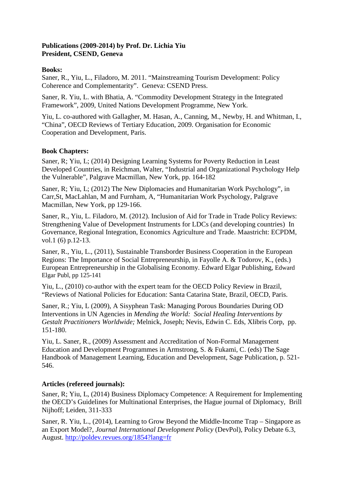# **Publications (2009-2014) by Prof. Dr. Lichia Yiu President, CSEND, Geneva**

### **Books:**

Saner, R., Yiu, L., Filadoro, M. 2011. "Mainstreaming Tourism Development: Policy Coherence and Complementarity". Geneva: CSEND Press.

Saner, R. Yiu, L. with Bhatia, A. "Commodity Development Strategy in the Integrated Framework", 2009, United Nations Development Programme, New York.

Yiu, L. co-authored with Gallagher, M. Hasan, A., Canning, M., Newby, H. and Whitman, I., "China", OECD Reviews of Tertiary Education, 2009. Organisation for Economic Cooperation and Development, Paris.

### **Book Chapters:**

Saner, R; Yiu, L; (2014) Designing Learning Systems for Poverty Reduction in Least Developed Countries, in Reichman, Walter, "Industrial and Organizational Psychology Help the Vulnerable", Palgrave Macmillan, New York, pp. 164-182

Saner, R; Yiu, L; (2012) The New Diplomacies and Humanitarian Work Psychology", in Carr,St, MacLahlan, M and Furnham, A, "Humanitarian Work Psychology, Palgrave Macmillan, New York, pp 129-166.

Saner, R., Yiu, L. Filadoro, M. (2012). Inclusion of Aid for Trade in Trade Policy Reviews: Strengthening Value of Development Instruments for LDCs (and developing countries) In Governance, Regional Integration, Economics Agriculture and Trade. Maastricht: ECPDM, vol.1 (6) p.12-13.

Saner, R., Yiu, L., (2011), Sustainable Transborder Business Cooperation in the European Regions: The Importance of Social Entrepreneurship, in Fayolle A. & Todorov, K., (eds.) European Entrepreneurship in the Globalising Economy. Edward Elgar Publishing, Edward Elgar Publ, pp 125-141

Yiu, L., (2010) co-author with the expert team for the OECD Policy Review in Brazil, "Reviews of National Policies for Education: Santa Catarina State, Brazil, OECD, Paris.

Saner, R.; Yiu, L (2009), A Sisyphean Task: Managing Porous Boundaries During OD Interventions in UN Agencies in *Mending the World: Social Healing Interventions by Gestalt Practitioners Worldwide;* Melnick, Joseph; Nevis, Edwin C. Eds, Xlibris Corp, pp. 151-180.

Yiu, L. Saner, R., (2009) Assessment and Accreditation of Non-Formal Management Education and Development Programmes in Armstrong, S. & Fukami, C. (eds) The Sage Handbook of Management Learning, Education and Development, Sage Publication, p. 521- 546.

# **Articles (refereed journals):**

Saner, R; Yiu, L, (2014) Business Diplomacy Competence: A Requirement for Implementing the OECD's Guidelines for Multinational Enterprises, the Hague journal of Diplomacy, Brill Nijhoff; Leiden, 311-333

Saner, R. Yiu, L., (2014), Learning to Grow Beyond the Middle-Income Trap – Singapore as an Export Model?, *Journal International Development Policy* (DevPol), Policy Debate 6.3, August. http://poldev.revues.org/1854?lang=fr